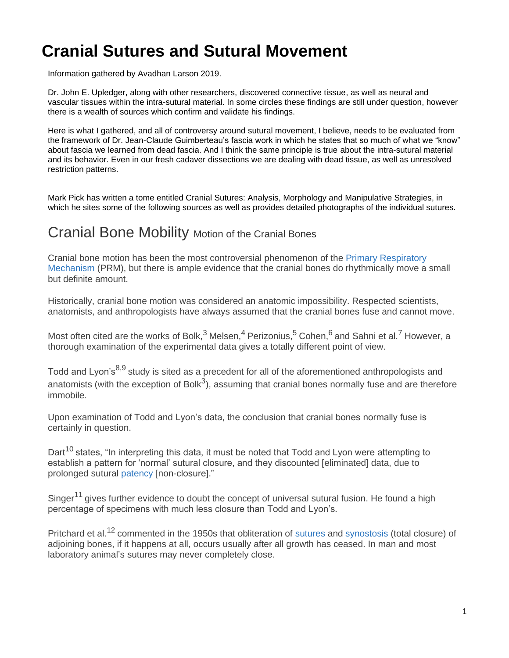# **Cranial Sutures and Sutural Movement**

Information gathered by Avadhan Larson 2019.

Dr. John E. Upledger, along with other researchers, discovered connective tissue, as well as neural and vascular tissues within the intra-sutural material. In some circles these findings are still under question, however there is a wealth of sources which confirm and validate his findings.

Here is what I gathered, and all of controversy around sutural movement, I believe, needs to be evaluated from the framework of Dr. Jean-Claude Guimberteau's fascia work in which he states that so much of what we "know" about fascia we learned from dead fascia. And I think the same principle is true about the intra-sutural material and its behavior. Even in our fresh cadaver dissections we are dealing with dead tissue, as well as unresolved restriction patterns.

Mark Pick has written a tome entitled Cranial Sutures: Analysis, Morphology and Manipulative Strategies, in which he sites some of the following sources as well as provides detailed photographs of the individual sutures.

## Cranial Bone Mobility Motion of the Cranial Bones

Cranial bone motion has been the most controversial phenomenon of the Primary Respiratory Mechanism (PRM), but there is ample evidence that the cranial bones do rhythmically move a small but definite amount.

Historically, cranial bone motion was considered an anatomic impossibility. Respected scientists, anatomists, and anthropologists have always assumed that the cranial bones fuse and cannot move.

Most often cited are the works of Bolk, $^3$  Melsen, $^4$  Perizonius, $^5$  Cohen, $^6$  and Sahni et al.<sup>7</sup> However, a thorough examination of the experimental data gives a totally different point of view.

Todd and Lyon's<sup>8,9</sup> study is sited as a precedent for all of the aforementioned anthropologists and anatomists (with the exception of Bolk<sup>3</sup>), assuming that cranial bones normally fuse and are therefore immobile.

Upon examination of Todd and Lyon's data, the conclusion that cranial bones normally fuse is certainly in question.

Dart<sup>10</sup> states, "In interpreting this data, it must be noted that Todd and Lyon were attempting to establish a pattern for 'normal' sutural closure, and they discounted [eliminated] data, due to prolonged sutural patency [non-closure]."

Singer<sup>11</sup> gives further evidence to doubt the concept of universal sutural fusion. He found a high percentage of specimens with much less closure than Todd and Lyon's.

Pritchard et al.<sup>12</sup> commented in the 1950s that obliteration of sutures and synostosis (total closure) of adjoining bones, if it happens at all, occurs usually after all growth has ceased. In man and most laboratory animal's sutures may never completely close.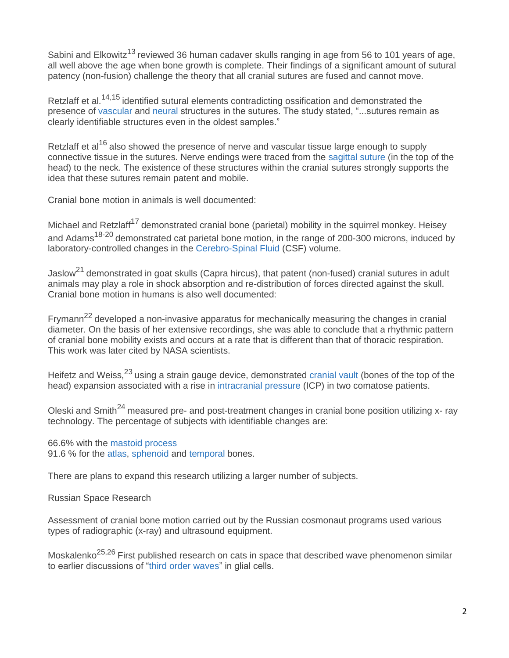Sabini and Elkowitz<sup>13</sup> reviewed 36 human cadaver skulls ranging in age from 56 to 101 years of age, all well above the age when bone growth is complete. Their findings of a significant amount of sutural patency (non-fusion) challenge the theory that all cranial sutures are fused and cannot move.

Retzlaff et al.<sup>14,15</sup> identified sutural elements contradicting ossification and demonstrated the presence of vascular and neural structures in the sutures. The study stated, "...sutures remain as clearly identifiable structures even in the oldest samples."

Retzlaff et al<sup>16</sup> also showed the presence of nerve and vascular tissue large enough to supply connective tissue in the sutures. Nerve endings were traced from the sagittal suture (in the top of the head) to the neck. The existence of these structures within the cranial sutures strongly supports the idea that these sutures remain patent and mobile.

Cranial bone motion in animals is well documented:

Michael and Retzlaff<sup>17</sup> demonstrated cranial bone (parietal) mobility in the squirrel monkey. Heisey and Adams<sup>18-20</sup> demonstrated cat parietal bone motion, in the range of 200-300 microns, induced by laboratory-controlled changes in the Cerebro-Spinal Fluid (CSF) volume.

Jaslow<sup>21</sup> demonstrated in goat skulls (Capra hircus), that patent (non-fused) cranial sutures in adult animals may play a role in shock absorption and re-distribution of forces directed against the skull. Cranial bone motion in humans is also well documented:

Frymann<sup>22</sup> developed a non-invasive apparatus for mechanically measuring the changes in cranial diameter. On the basis of her extensive recordings, she was able to conclude that a rhythmic pattern of cranial bone mobility exists and occurs at a rate that is different than that of thoracic respiration. This work was later cited by NASA scientists.

Heifetz and Weiss,<sup>23</sup> using a strain gauge device, demonstrated cranial vault (bones of the top of the head) expansion associated with a rise in intracranial pressure (ICP) in two comatose patients.

Oleski and Smith<sup>24</sup> measured pre- and post-treatment changes in cranial bone position utilizing x- ray technology. The percentage of subjects with identifiable changes are:

66.6% with the mastoid process 91.6 % for the atlas, sphenoid and temporal bones.

There are plans to expand this research utilizing a larger number of subjects.

Russian Space Research

Assessment of cranial bone motion carried out by the Russian cosmonaut programs used various types of radiographic (x-ray) and ultrasound equipment.

Moskalenko<sup>25,26</sup> First published research on cats in space that described wave phenomenon similar to earlier discussions of "third order waves" in glial cells.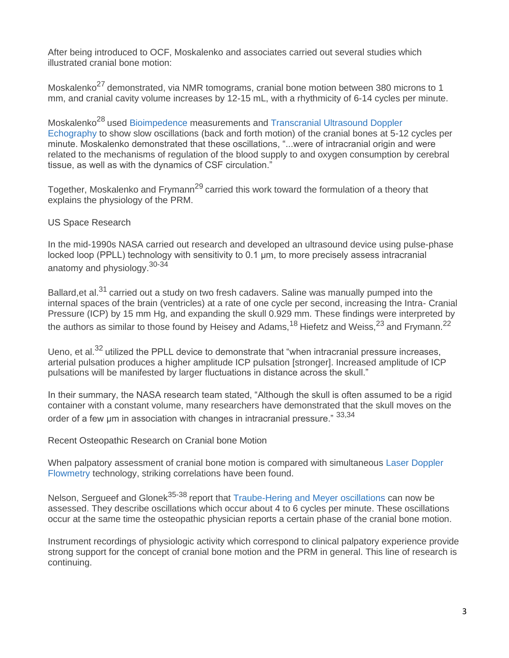After being introduced to OCF, Moskalenko and associates carried out several studies which illustrated cranial bone motion:

Moskalenko<sup>27</sup> demonstrated, via NMR tomograms, cranial bone motion between 380 microns to 1 mm, and cranial cavity volume increases by 12-15 mL, with a rhythmicity of 6-14 cycles per minute.

Moskalenko<sup>28</sup> used Bioimpedence measurements and Transcranial Ultrasound Doppler Echography to show slow oscillations (back and forth motion) of the cranial bones at 5-12 cycles per minute. Moskalenko demonstrated that these oscillations, "...were of intracranial origin and were related to the mechanisms of regulation of the blood supply to and oxygen consumption by cerebral tissue, as well as with the dynamics of CSF circulation."

Together, Moskalenko and Frymann<sup>29</sup> carried this work toward the formulation of a theory that explains the physiology of the PRM.

US Space Research

In the mid-1990s NASA carried out research and developed an ultrasound device using pulse-phase locked loop (PPLL) technology with sensitivity to 0.1 μm, to more precisely assess intracranial anatomy and physiology.30-34

Ballard,et al.<sup>31</sup> carried out a study on two fresh cadavers. Saline was manually pumped into the internal spaces of the brain (ventricles) at a rate of one cycle per second, increasing the Intra- Cranial Pressure (ICP) by 15 mm Hg, and expanding the skull 0.929 mm. These findings were interpreted by the authors as similar to those found by Heisey and Adams,  $^{18}$  Hiefetz and Weiss,  $^{23}$  and Frymann.  $^{22}$ 

Ueno, et al.<sup>32</sup> utilized the PPLL device to demonstrate that "when intracranial pressure increases, arterial pulsation produces a higher amplitude ICP pulsation [stronger]. Increased amplitude of ICP pulsations will be manifested by larger fluctuations in distance across the skull."

In their summary, the NASA research team stated, "Although the skull is often assumed to be a rigid container with a constant volume, many researchers have demonstrated that the skull moves on the order of a few µm in association with changes in intracranial pressure." 33,34

Recent Osteopathic Research on Cranial bone Motion

When palpatory assessment of cranial bone motion is compared with simultaneous Laser Doppler Flowmetry technology, striking correlations have been found.

Nelson, Sergueef and Glonek<sup>35-38</sup> report that Traube-Hering and Meyer oscillations can now be assessed. They describe oscillations which occur about 4 to 6 cycles per minute. These oscillations occur at the same time the osteopathic physician reports a certain phase of the cranial bone motion.

Instrument recordings of physiologic activity which correspond to clinical palpatory experience provide strong support for the concept of cranial bone motion and the PRM in general. This line of research is continuing.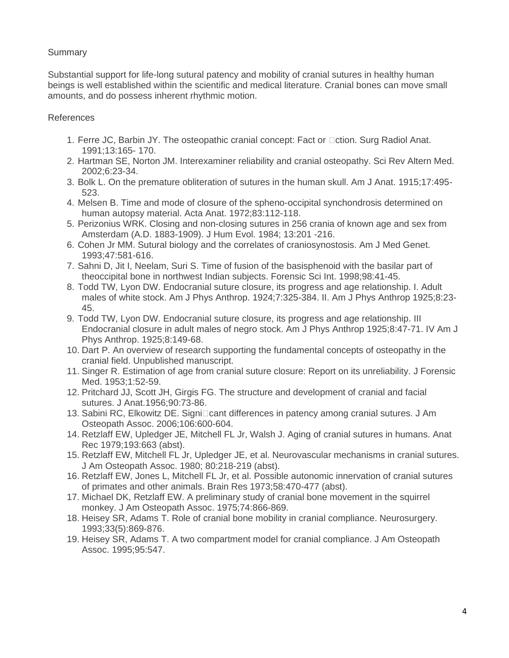### Summary

Substantial support for life-long sutural patency and mobility of cranial sutures in healthy human beings is well established within the scientific and medical literature. Cranial bones can move small amounts, and do possess inherent rhythmic motion.

#### References

- 1. Ferre JC, Barbin JY. The osteopathic cranial concept: Fact or  $\Box$ ction. Surg Radiol Anat. 1991;13:165- 170.
- 2. Hartman SE, Norton JM. Interexaminer reliability and cranial osteopathy. Sci Rev Altern Med. 2002;6:23-34.
- 3. Bolk L. On the premature obliteration of sutures in the human skull. Am J Anat. 1915;17:495- 523.
- 4. Melsen B. Time and mode of closure of the spheno-occipital synchondrosis determined on human autopsy material. Acta Anat. 1972;83:112-118.
- 5. Perizonius WRK. Closing and non-closing sutures in 256 crania of known age and sex from Amsterdam (A.D. 1883-1909). J Hum Evol. 1984; 13:201 -216.
- 6. Cohen Jr MM. Sutural biology and the correlates of craniosynostosis. Am J Med Genet. 1993;47:581-616.
- 7. Sahni D, Jit I, Neelam, Suri S. Time of fusion of the basisphenoid with the basilar part of theoccipital bone in northwest Indian subjects. Forensic Sci Int. 1998;98:41-45.
- 8. Todd TW, Lyon DW. Endocranial suture closure, its progress and age relationship. I. Adult males of white stock. Am J Phys Anthrop. 1924;7:325-384. II. Am J Phys Anthrop 1925;8:23- 45.
- 9. Todd TW, Lyon DW. Endocranial suture closure, its progress and age relationship. III Endocranial closure in adult males of negro stock. Am J Phys Anthrop 1925;8:47-71. IV Am J Phys Anthrop. 1925;8:149-68.
- 10. Dart P. An overview of research supporting the fundamental concepts of osteopathy in the cranial field. Unpublished manuscript.
- 11. Singer R. Estimation of age from cranial suture closure: Report on its unreliability. J Forensic Med. 1953;1:52-59.
- 12. Pritchard JJ, Scott JH, Girgis FG. The structure and development of cranial and facial sutures. J Anat.1956;90:73-86.
- 13. Sabini RC, Elkowitz DE. Signiocant differences in patency among cranial sutures. J Am Osteopath Assoc. 2006;106:600-604.
- 14. Retzlaff EW, Upledger JE, Mitchell FL Jr, Walsh J. Aging of cranial sutures in humans. Anat Rec 1979;193:663 (abst).
- 15. Retzlaff EW, Mitchell FL Jr, Upledger JE, et al. Neurovascular mechanisms in cranial sutures. J Am Osteopath Assoc. 1980; 80:218-219 (abst).
- 16. Retzlaff EW, Jones L, Mitchell FL Jr, et al. Possible autonomic innervation of cranial sutures of primates and other animals. Brain Res 1973;58:470-477 (abst).
- 17. Michael DK, Retzlaff EW. A preliminary study of cranial bone movement in the squirrel monkey. J Am Osteopath Assoc. 1975;74:866-869.
- 18. Heisey SR, Adams T. Role of cranial bone mobility in cranial compliance. Neurosurgery. 1993;33(5):869-876.
- 19. Heisey SR, Adams T. A two compartment model for cranial compliance. J Am Osteopath Assoc. 1995;95:547.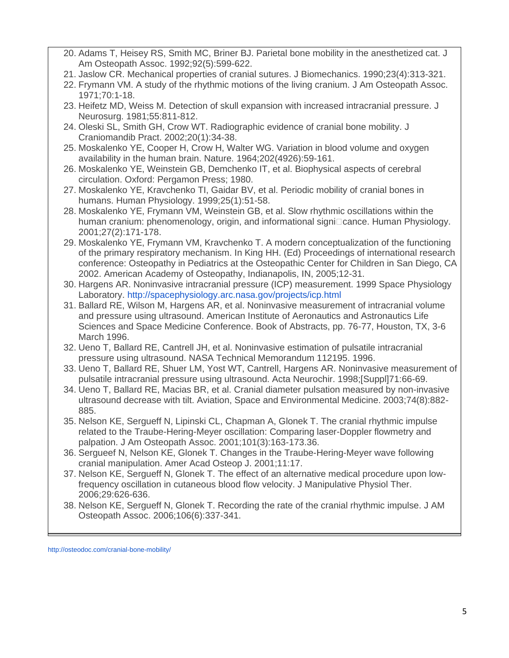- 20. Adams T, Heisey RS, Smith MC, Briner BJ. Parietal bone mobility in the anesthetized cat. J Am Osteopath Assoc. 1992;92(5):599-622.
- 21. Jaslow CR. Mechanical properties of cranial sutures. J Biomechanics. 1990;23(4):313-321.
- 22. Frymann VM. A study of the rhythmic motions of the living cranium. J Am Osteopath Assoc. 1971;70:1-18.
- 23. Heifetz MD, Weiss M. Detection of skull expansion with increased intracranial pressure. J Neurosurg. 1981;55:811-812.
- 24. Oleski SL, Smith GH, Crow WT. Radiographic evidence of cranial bone mobility. J Craniomandib Pract. 2002;20(1):34-38.
- 25. Moskalenko YE, Cooper H, Crow H, Walter WG. Variation in blood volume and oxygen availability in the human brain. Nature. 1964;202(4926):59-161.
- 26. Moskalenko YE, Weinstein GB, Demchenko IT, et al. Biophysical aspects of cerebral circulation. Oxford: Pergamon Press; 1980.
- 27. Moskalenko YE, Kravchenko TI, Gaidar BV, et al. Periodic mobility of cranial bones in humans. Human Physiology. 1999;25(1):51-58.
- 28. Moskalenko YE, Frymann VM, Weinstein GB, et al. Slow rhythmic oscillations within the human cranium: phenomenology, origin, and informational signi $\Box$ cance. Human Physiology. 2001;27(2):171-178.
- 29. Moskalenko YE, Frymann VM, Kravchenko T. A modern conceptualization of the functioning of the primary respiratory mechanism. In King HH. (Ed) Proceedings of international research conference: Osteopathy in Pediatrics at the Osteopathic Center for Children in San Diego, CA 2002. American Academy of Osteopathy, Indianapolis, IN, 2005;12-31.
- 30. Hargens AR. Noninvasive intracranial pressure (ICP) measurement. 1999 Space Physiology Laboratory. <http://spacephysiology.arc.nasa.gov/projects/icp.html>
- 31. Ballard RE, Wilson M, Hargens AR, et al. Noninvasive measurement of intracranial volume and pressure using ultrasound. American Institute of Aeronautics and Astronautics Life Sciences and Space Medicine Conference. Book of Abstracts, pp. 76-77, Houston, TX, 3-6 March 1996.
- 32. Ueno T, Ballard RE, Cantrell JH, et al. Noninvasive estimation of pulsatile intracranial pressure using ultrasound. NASA Technical Memorandum 112195. 1996.
- 33. Ueno T, Ballard RE, Shuer LM, Yost WT, Cantrell, Hargens AR. Noninvasive measurement of pulsatile intracranial pressure using ultrasound. Acta Neurochir. 1998;[Suppl]71:66-69.
- 34. Ueno T, Ballard RE, Macias BR, et al. Cranial diameter pulsation measured by non-invasive ultrasound decrease with tilt. Aviation, Space and Environmental Medicine. 2003;74(8):882- 885.
- 35. Nelson KE, Sergueff N, Lipinski CL, Chapman A, Glonek T. The cranial rhythmic impulse related to the Traube-Hering-Meyer oscillation: Comparing laser-Doppler flowmetry and palpation. J Am Osteopath Assoc. 2001;101(3):163-173.36.
- 36. Sergueef N, Nelson KE, Glonek T. Changes in the Traube-Hering-Meyer wave following cranial manipulation. Amer Acad Osteop J. 2001;11:17.
- 37. Nelson KE, Sergueff N, Glonek T. The effect of an alternative medical procedure upon lowfrequency oscillation in cutaneous blood flow velocity. J Manipulative Physiol Ther. 2006;29:626-636.
- 38. Nelson KE, Sergueff N, Glonek T. Recording the rate of the cranial rhythmic impulse. J AM Osteopath Assoc. 2006;106(6):337-341.

<http://osteodoc.com/cranial-bone-mobility/>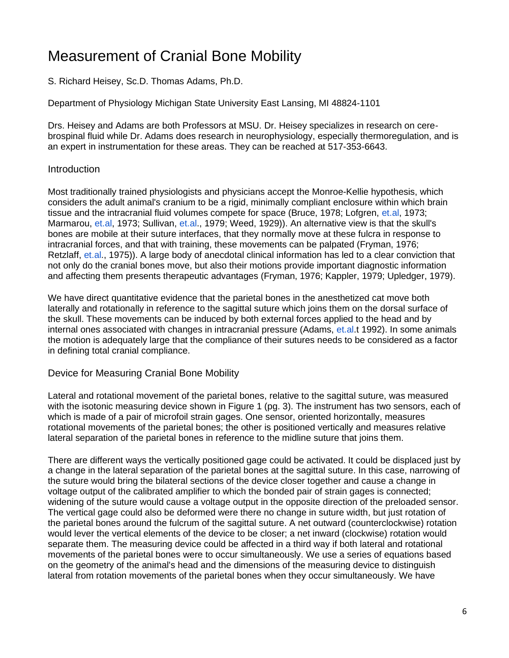## Measurement of Cranial Bone Mobility

S. Richard Heisey, Sc.D. Thomas Adams, Ph.D.

Department of Physiology Michigan State University East Lansing, MI 48824-1101

Drs. Heisey and Adams are both Professors at MSU. Dr. Heisey specializes in research on cerebrospinal fluid while Dr. Adams does research in neurophysiology, especially thermoregulation, and is an expert in instrumentation for these areas. They can be reached at 517-353-6643.

### Introduction

Most traditionally trained physiologists and physicians accept the Monroe-Kellie hypothesis, which considers the adult animal's cranium to be a rigid, minimally compliant enclosure within which brain tissue and the intracranial fluid volumes compete for space (Bruce, 1978; Lofgren, [et.al,](http://et.al/) 1973; Marmarou, [et.al,](http://et.al/) 1973; Sullivan, [et.al.](http://et.al/), 1979; Weed, 1929)). An alternative view is that the skull's bones are mobile at their suture interfaces, that they normally move at these fulcra in response to intracranial forces, and that with training, these movements can be palpated (Fryman, 1976; Retzlaff, [et.al.](http://et.al/), 1975)). A large body of anecdotal clinical information has led to a clear conviction that not only do the cranial bones move, but also their motions provide important diagnostic information and affecting them presents therapeutic advantages (Fryman, 1976; Kappler, 1979; Upledger, 1979).

We have direct quantitative evidence that the parietal bones in the anesthetized cat move both laterally and rotationally in reference to the sagittal suture which joins them on the dorsal surface of the skull. These movements can be induced by both external forces applied to the head and by internal ones associated with changes in intracranial pressure (Adams, [et.al.](http://et.al/)t 1992). In some animals the motion is adequately large that the compliance of their sutures needs to be considered as a factor in defining total cranial compliance.

## Device for Measuring Cranial Bone Mobility

Lateral and rotational movement of the parietal bones, relative to the sagittal suture, was measured with the isotonic measuring device shown in Figure 1 (pg. 3). The instrument has two sensors, each of which is made of a pair of microfoil strain gages. One sensor, oriented horizontally, measures rotational movements of the parietal bones; the other is positioned vertically and measures relative lateral separation of the parietal bones in reference to the midline suture that joins them.

There are different ways the vertically positioned gage could be activated. It could be displaced just by a change in the lateral separation of the parietal bones at the sagittal suture. In this case, narrowing of the suture would bring the bilateral sections of the device closer together and cause a change in voltage output of the calibrated amplifier to which the bonded pair of strain gages is connected; widening of the suture would cause a voltage output in the opposite direction of the preloaded sensor. The vertical gage could also be deformed were there no change in suture width, but just rotation of the parietal bones around the fulcrum of the sagittal suture. A net outward (counterclockwise) rotation would lever the vertical elements of the device to be closer; a net inward (clockwise) rotation would separate them. The measuring device could be affected in a third way if both lateral and rotational movements of the parietal bones were to occur simultaneously. We use a series of equations based on the geometry of the animal's head and the dimensions of the measuring device to distinguish lateral from rotation movements of the parietal bones when they occur simultaneously. We have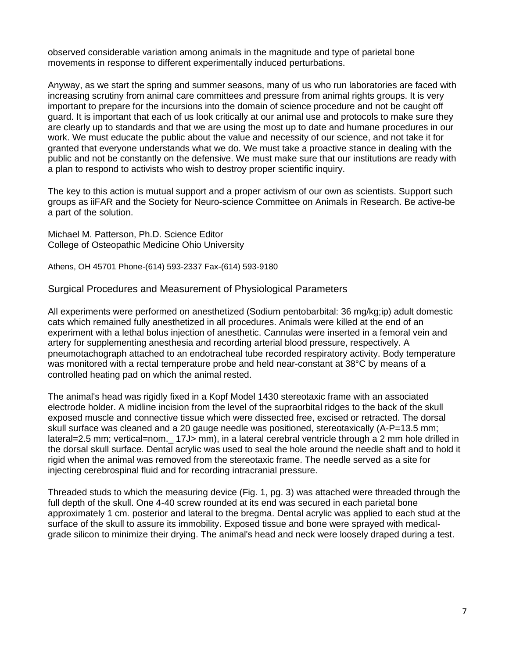observed considerable variation among animals in the magnitude and type of parietal bone movements in response to different experimentally induced perturbations.

Anyway, as we start the spring and summer seasons, many of us who run laboratories are faced with increasing scrutiny from animal care committees and pressure from animal rights groups. It is very important to prepare for the incursions into the domain of science procedure and not be caught off guard. It is important that each of us look critically at our animal use and protocols to make sure they are clearly up to standards and that we are using the most up to date and humane procedures in our work. We must educate the public about the value and necessity of our science, and not take it for granted that everyone understands what we do. We must take a proactive stance in dealing with the public and not be constantly on the defensive. We must make sure that our institutions are ready with a plan to respond to activists who wish to destroy proper scientific inquiry.

The key to this action is mutual support and a proper activism of our own as scientists. Support such groups as iiFAR and the Society for Neuro-science Committee on Animals in Research. Be active-be a part of the solution.

Michael M. Patterson, Ph.D. Science Editor College of Osteopathic Medicine Ohio University

Athens, OH 45701 Phone-(614) 593-2337 Fax-(614) 593-9180

Surgical Procedures and Measurement of Physiological Parameters

All experiments were performed on anesthetized (Sodium pentobarbital: 36 mg/kg;ip) adult domestic cats which remained fully anesthetized in all procedures. Animals were killed at the end of an experiment with a lethal bolus injection of anesthetic. Cannulas were inserted in a femoral vein and artery for supplementing anesthesia and recording arterial blood pressure, respectively. A pneumotachograph attached to an endotracheal tube recorded respiratory activity. Body temperature was monitored with a rectal temperature probe and held near-constant at 38°C by means of a controlled heating pad on which the animal rested.

The animal's head was rigidly fixed in a Kopf Model 1430 stereotaxic frame with an associated electrode holder. A midline incision from the level of the supraorbital ridges to the back of the skull exposed muscle and connective tissue which were dissected free, excised or retracted. The dorsal skull surface was cleaned and a 20 gauge needle was positioned, stereotaxically (A-P=13.5 mm; lateral=2.5 mm; vertical=nom.\_ 17J> mm), in a lateral cerebral ventricle through a 2 mm hole drilled in the dorsal skull surface. Dental acrylic was used to seal the hole around the needle shaft and to hold it rigid when the animal was removed from the stereotaxic frame. The needle served as a site for injecting cerebrospinal fluid and for recording intracranial pressure.

Threaded studs to which the measuring device (Fig. 1, pg. 3) was attached were threaded through the full depth of the skull. One 4-40 screw rounded at its end was secured in each parietal bone approximately 1 cm. posterior and lateral to the bregma. Dental acrylic was applied to each stud at the surface of the skull to assure its immobility. Exposed tissue and bone were sprayed with medicalgrade silicon to minimize their drying. The animal's head and neck were loosely draped during a test.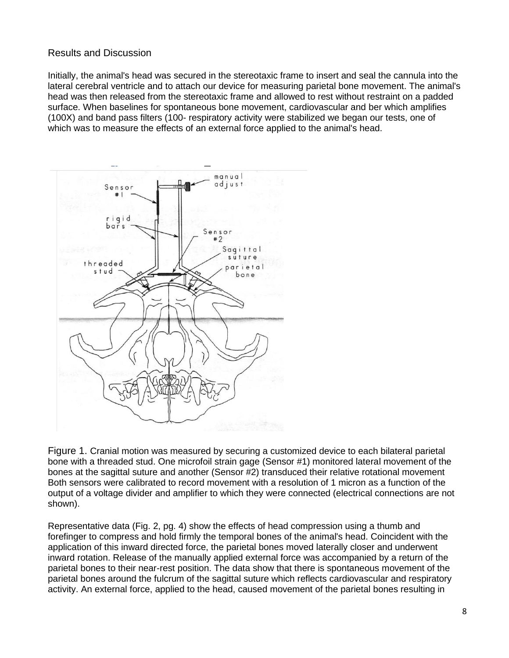#### Results and Discussion

Initially, the animal's head was secured in the stereotaxic frame to insert and seal the cannula into the lateral cerebral ventricle and to attach our device for measuring parietal bone movement. The animal's head was then released from the stereotaxic frame and allowed to rest without restraint on a padded surface. When baselines for spontaneous bone movement, cardiovascular and ber which amplifies (100X) and band pass filters (100- respiratory activity were stabilized we began our tests, one of which was to measure the effects of an external force applied to the animal's head.



Figure 1. Cranial motion was measured by securing a customized device to each bilateral parietal bone with a threaded stud. One microfoil strain gage (Sensor #1) monitored lateral movement of the bones at the sagittal suture and another (Sensor #2) transduced their relative rotational movement Both sensors were calibrated to record movement with a resolution of 1 micron as a function of the output of a voltage divider and amplifier to which they were connected (electrical connections are not shown).

Representative data (Fig. 2, pg. 4) show the effects of head compression using a thumb and forefinger to compress and hold firmly the temporal bones of the animal's head. Coincident with the application of this inward directed force, the parietal bones moved laterally closer and underwent inward rotation. Release of the manually applied external force was accompanied by a return of the parietal bones to their near-rest position. The data show that there is spontaneous movement of the parietal bones around the fulcrum of the sagittal suture which reflects cardiovascular and respiratory activity. An external force, applied to the head, caused movement of the parietal bones resulting in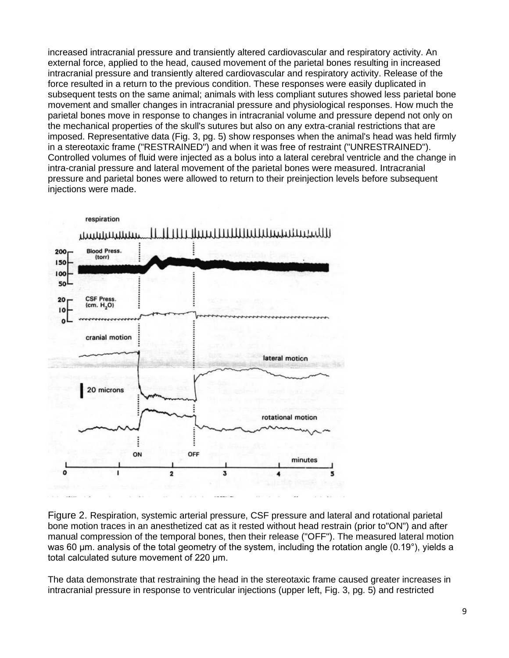increased intracranial pressure and transiently altered cardiovascular and respiratory activity. An external force, applied to the head, caused movement of the parietal bones resulting in increased intracranial pressure and transiently altered cardiovascular and respiratory activity. Release of the force resulted in a return to the previous condition. These responses were easily duplicated in subsequent tests on the same animal; animals with less compliant sutures showed less parietal bone movement and smaller changes in intracranial pressure and physiological responses. How much the parietal bones move in response to changes in intracranial volume and pressure depend not only on the mechanical properties of the skull's sutures but also on any extra-cranial restrictions that are imposed. Representative data (Fig. 3, pg. 5) show responses when the animal's head was held firmly in a stereotaxic frame ("RESTRAINED") and when it was free of restraint ("UNRESTRAINED"). Controlled volumes of fluid were injected as a bolus into a lateral cerebral ventricle and the change in intra-cranial pressure and lateral movement of the parietal bones were measured. Intracranial pressure and parietal bones were allowed to return to their preinjection levels before subsequent injections were made.



Figure 2. Respiration, systemic arterial pressure, CSF pressure and lateral and rotational parietal bone motion traces in an anesthetized cat as it rested without head restrain (prior to"ON") and after manual compression of the temporal bones, then their release ("OFF"). The measured lateral motion was 60 μm. analysis of the total geometry of the system, including the rotation angle (0.19°), yields a total calculated suture movement of 220 μm.

The data demonstrate that restraining the head in the stereotaxic frame caused greater increases in intracranial pressure in response to ventricular injections (upper left, Fig. 3, pg. 5) and restricted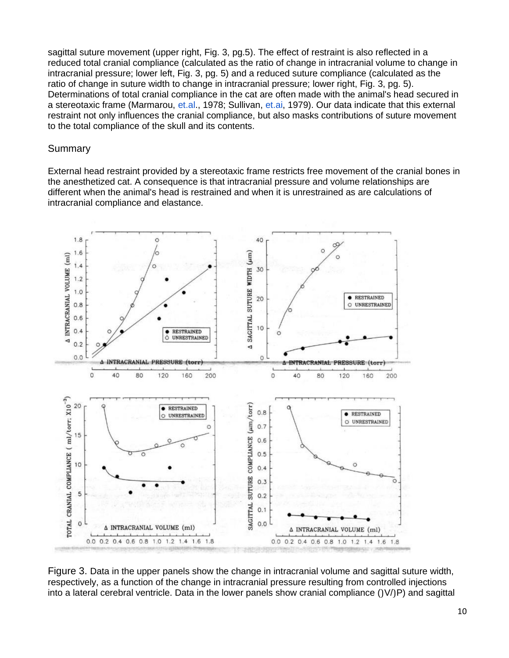sagittal suture movement (upper right, Fig. 3, pg.5). The effect of restraint is also reflected in a reduced total cranial compliance (calculated as the ratio of change in intracranial volume to change in intracranial pressure; lower left, Fig. 3, pg. 5) and a reduced suture compliance (calculated as the ratio of change in suture width to change in intracranial pressure; lower right, Fig. 3, pg. 5). Determinations of total cranial compliance in the cat are often made with the animal's head secured in a stereotaxic frame (Marmarou, [et.al.](http://et.al/), 1978; Sullivan, [et.ai,](http://et.ai/) 1979). Our data indicate that this external restraint not only influences the cranial compliance, but also masks contributions of suture movement to the total compliance of the skull and its contents.

#### **Summary**

External head restraint provided by a stereotaxic frame restricts free movement of the cranial bones in the anesthetized cat. A consequence is that intracranial pressure and volume relationships are different when the animal's head is restrained and when it is unrestrained as are calculations of intracranial compliance and elastance.



Figure 3. Data in the upper panels show the change in intracranial volume and sagittal suture width, respectively, as a function of the change in intracranial pressure resulting from controlled injections into a lateral cerebral ventricle. Data in the lower panels show cranial compliance ()V/)P) and sagittal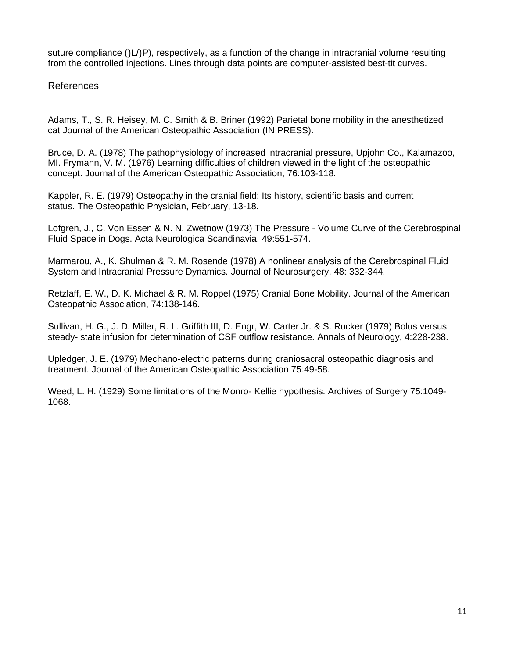suture compliance ()L/)P), respectively, as a function of the change in intracranial volume resulting from the controlled injections. Lines through data points are computer-assisted best-tit curves.

#### References

Adams, T., S. R. Heisey, M. C. Smith & B. Briner (1992) Parietal bone mobility in the anesthetized cat Journal of the American Osteopathic Association (IN PRESS).

Bruce, D. A. (1978) The pathophysiology of increased intracranial pressure, Upjohn Co., Kalamazoo, MI. Frymann, V. M. (1976) Learning difficulties of children viewed in the light of the osteopathic concept. Journal of the American Osteopathic Association, 76:103-118.

Kappler, R. E. (1979) Osteopathy in the cranial field: Its history, scientific basis and current status. The Osteopathic Physician, February, 13-18.

Lofgren, J., C. Von Essen & N. N. Zwetnow (1973) The Pressure - Volume Curve of the Cerebrospinal Fluid Space in Dogs. Acta Neurologica Scandinavia, 49:551-574.

Marmarou, A., K. Shulman & R. M. Rosende (1978) A nonlinear analysis of the Cerebrospinal Fluid System and Intracranial Pressure Dynamics. Journal of Neurosurgery, 48: 332-344.

Retzlaff, E. W., D. K. Michael & R. M. Roppel (1975) Cranial Bone Mobility. Journal of the American Osteopathic Association, 74:138-146.

Sullivan, H. G., J. D. Miller, R. L. Griffith III, D. Engr, W. Carter Jr. & S. Rucker (1979) Bolus versus steady- state infusion for determination of CSF outflow resistance. Annals of Neurology, 4:228-238.

Upledger, J. E. (1979) Mechano-electric patterns during craniosacral osteopathic diagnosis and treatment. Journal of the American Osteopathic Association 75:49-58.

Weed, L. H. (1929) Some limitations of the Monro- Kellie hypothesis. Archives of Surgery 75:1049- 1068.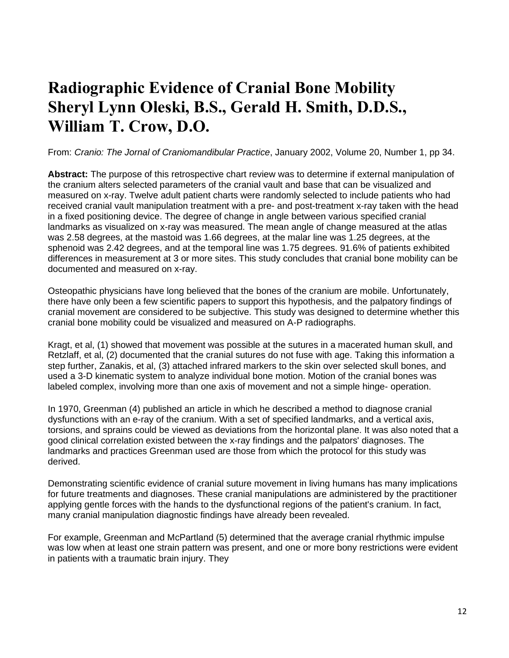# **Radiographic Evidence of Cranial Bone Mobility Sheryl Lynn Oleski, B.S., Gerald H. Smith, D.D.S., William T. Crow, D.O.**

From: *Cranio: The Jornal of Craniomandibular Practice*, January 2002, Volume 20, Number 1, pp 34.

**Abstract:** The purpose of this retrospective chart review was to determine if external manipulation of the cranium alters selected parameters of the cranial vault and base that can be visualized and measured on x-ray. Twelve adult patient charts were randomly selected to include patients who had received cranial vault manipulation treatment with a pre- and post-treatment x-ray taken with the head in a fixed positioning device. The degree of change in angle between various specified cranial landmarks as visualized on x-ray was measured. The mean angle of change measured at the atlas was 2.58 degrees, at the mastoid was 1.66 degrees, at the malar line was 1.25 degrees, at the sphenoid was 2.42 degrees, and at the temporal line was 1.75 degrees. 91.6% of patients exhibited differences in measurement at 3 or more sites. This study concludes that cranial bone mobility can be documented and measured on x-ray.

Osteopathic physicians have long believed that the bones of the cranium are mobile. Unfortunately, there have only been a few scientific papers to support this hypothesis, and the palpatory findings of cranial movement are considered to be subjective. This study was designed to determine whether this cranial bone mobility could be visualized and measured on A-P radiographs.

Kragt, et al, (1) showed that movement was possible at the sutures in a macerated human skull, and Retzlaff, et al, (2) documented that the cranial sutures do not fuse with age. Taking this information a step further, Zanakis, et al, (3) attached infrared markers to the skin over selected skull bones, and used a 3-D kinematic system to analyze individual bone motion. Motion of the cranial bones was labeled complex, involving more than one axis of movement and not a simple hinge- operation.

In 1970, Greenman (4) published an article in which he described a method to diagnose cranial dysfunctions with an e-ray of the cranium. With a set of specified landmarks, and a vertical axis, torsions, and sprains could be viewed as deviations from the horizontal plane. It was also noted that a good clinical correlation existed between the x-ray findings and the palpators' diagnoses. The landmarks and practices Greenman used are those from which the protocol for this study was derived.

Demonstrating scientific evidence of cranial suture movement in living humans has many implications for future treatments and diagnoses. These cranial manipulations are administered by the practitioner applying gentle forces with the hands to the dysfunctional regions of the patient's cranium. In fact, many cranial manipulation diagnostic findings have already been revealed.

For example, Greenman and McPartland (5) determined that the average cranial rhythmic impulse was low when at least one strain pattern was present, and one or more bony restrictions were evident in patients with a traumatic brain injury. They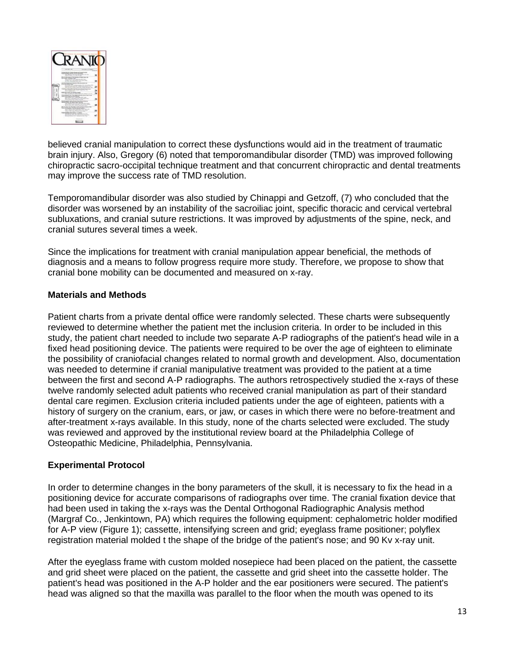

believed cranial manipulation to correct these dysfunctions would aid in the treatment of traumatic brain injury. Also, Gregory (6) noted that temporomandibular disorder (TMD) was improved following chiropractic sacro-occipital technique treatment and that concurrent chiropractic and dental treatments may improve the success rate of TMD resolution.

Temporomandibular disorder was also studied by Chinappi and Getzoff, (7) who concluded that the disorder was worsened by an instability of the sacroiliac joint, specific thoracic and cervical vertebral subluxations, and cranial suture restrictions. It was improved by adjustments of the spine, neck, and cranial sutures several times a week.

Since the implications for treatment with cranial manipulation appear beneficial, the methods of diagnosis and a means to follow progress require more study. Therefore, we propose to show that cranial bone mobility can be documented and measured on x-ray.

#### **Materials and Methods**

Patient charts from a private dental office were randomly selected. These charts were subsequently reviewed to determine whether the patient met the inclusion criteria. In order to be included in this study, the patient chart needed to include two separate A-P radiographs of the patient's head wile in a fixed head positioning device. The patients were required to be over the age of eighteen to eliminate the possibility of craniofacial changes related to normal growth and development. Also, documentation was needed to determine if cranial manipulative treatment was provided to the patient at a time between the first and second A-P radiographs. The authors retrospectively studied the x-rays of these twelve randomly selected adult patients who received cranial manipulation as part of their standard dental care regimen. Exclusion criteria included patients under the age of eighteen, patients with a history of surgery on the cranium, ears, or jaw, or cases in which there were no before-treatment and after-treatment x-rays available. In this study, none of the charts selected were excluded. The study was reviewed and approved by the institutional review board at the Philadelphia College of Osteopathic Medicine, Philadelphia, Pennsylvania.

### **Experimental Protocol**

In order to determine changes in the bony parameters of the skull, it is necessary to fix the head in a positioning device for accurate comparisons of radiographs over time. The cranial fixation device that had been used in taking the x-rays was the Dental Orthogonal Radiographic Analysis method (Margraf Co., Jenkintown, PA) which requires the following equipment: cephalometric holder modified for A-P view (Figure 1); cassette, intensifying screen and grid; eyeglass frame positioner; polyflex registration material molded t the shape of the bridge of the patient's nose; and 90 Kv x-ray unit.

After the eyeglass frame with custom molded nosepiece had been placed on the patient, the cassette and grid sheet were placed on the patient, the cassette and grid sheet into the cassette holder. The patient's head was positioned in the A-P holder and the ear positioners were secured. The patient's head was aligned so that the maxilla was parallel to the floor when the mouth was opened to its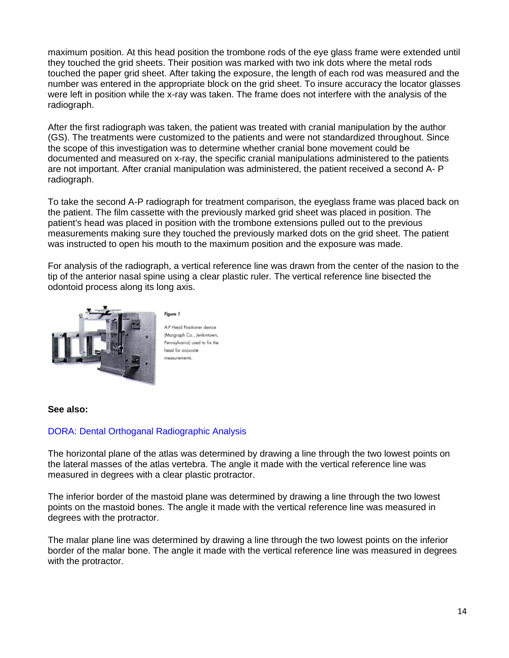maximum position. At this head position the trombone rods of the eye glass frame were extended until they touched the grid sheets. Their position was marked with two ink dots where the metal rods touched the paper grid sheet. After taking the exposure, the length of each rod was measured and the number was entered in the appropriate block on the grid sheet. To insure accuracy the locator glasses were left in position while the x-ray was taken. The frame does not interfere with the analysis of the radiograph.

After the first radiograph was taken, the patient was treated with cranial manipulation by the author (GS). The treatments were customized to the patients and were not standardized throughout. Since the scope of this investigation was to determine whether cranial bone movement could be documented and measured on x-ray, the specific cranial manipulations administered to the patients are not important. After cranial manipulation was administered, the patient received a second A- P radiograph.

To take the second A-P radiograph for treatment comparison, the eyeglass frame was placed back on the patient. The film cassette with the previously marked grid sheet was placed in position. The patient's head was placed in position with the trombone extensions pulled out to the previous measurements making sure they touched the previously marked dots on the grid sheet. The patient was instructed to open his mouth to the maximum position and the exposure was made.

For analysis of the radiograph, a vertical reference line was drawn from the center of the nasion to the tip of the anterior nasal spine using a clear plastic ruler. The vertical reference line bisected the odontoid process along its long axis.



A-P Head Positioner device (Margraph Co., Jenkintown, Pennsylvania) used to fix the head for accurate measurements.

#### **See also:**

### DORA: Dental Orthoganal Radiographic Analysis

The horizontal plane of the atlas was determined by drawing a line through the two lowest points on the lateral masses of the atlas vertebra. The angle it made with the vertical reference line was measured in degrees with a clear plastic protractor.

The inferior border of the mastoid plane was determined by drawing a line through the two lowest points on the mastoid bones. The angle it made with the vertical reference line was measured in degrees with the protractor.

The malar plane line was determined by drawing a line through the two lowest points on the inferior border of the malar bone. The angle it made with the vertical reference line was measured in degrees with the protractor.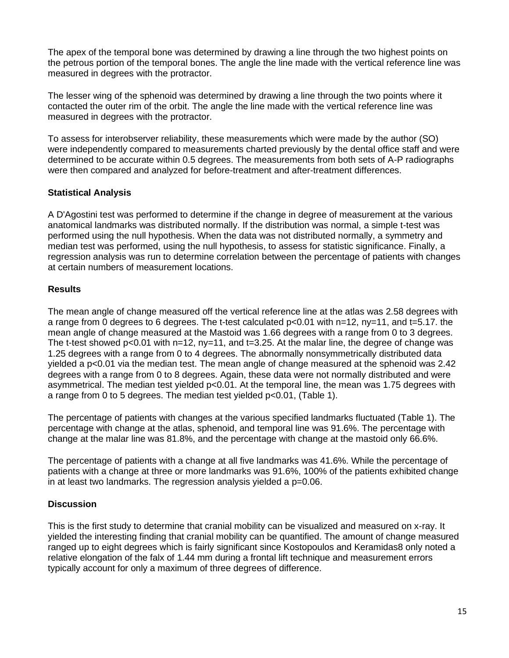The apex of the temporal bone was determined by drawing a line through the two highest points on the petrous portion of the temporal bones. The angle the line made with the vertical reference line was measured in degrees with the protractor.

The lesser wing of the sphenoid was determined by drawing a line through the two points where it contacted the outer rim of the orbit. The angle the line made with the vertical reference line was measured in degrees with the protractor.

To assess for interobserver reliability, these measurements which were made by the author (SO) were independently compared to measurements charted previously by the dental office staff and were determined to be accurate within 0.5 degrees. The measurements from both sets of A-P radiographs were then compared and analyzed for before-treatment and after-treatment differences.

#### **Statistical Analysis**

A D'Agostini test was performed to determine if the change in degree of measurement at the various anatomical landmarks was distributed normally. If the distribution was normal, a simple t-test was performed using the null hypothesis. When the data was not distributed normally, a symmetry and median test was performed, using the null hypothesis, to assess for statistic significance. Finally, a regression analysis was run to determine correlation between the percentage of patients with changes at certain numbers of measurement locations.

#### **Results**

The mean angle of change measured off the vertical reference line at the atlas was 2.58 degrees with a range from 0 degrees to 6 degrees. The t-test calculated p<0.01 with n=12, ny=11, and t=5.17. the mean angle of change measured at the Mastoid was 1.66 degrees with a range from 0 to 3 degrees. The t-test showed  $p<0.01$  with  $n=12$ ,  $ny=11$ , and  $t=3.25$ . At the malar line, the degree of change was 1.25 degrees with a range from 0 to 4 degrees. The abnormally nonsymmetrically distributed data yielded a p<0.01 via the median test. The mean angle of change measured at the sphenoid was 2.42 degrees with a range from 0 to 8 degrees. Again, these data were not normally distributed and were asymmetrical. The median test yielded p<0.01. At the temporal line, the mean was 1.75 degrees with a range from 0 to 5 degrees. The median test yielded p<0.01, (Table 1).

The percentage of patients with changes at the various specified landmarks fluctuated (Table 1). The percentage with change at the atlas, sphenoid, and temporal line was 91.6%. The percentage with change at the malar line was 81.8%, and the percentage with change at the mastoid only 66.6%.

The percentage of patients with a change at all five landmarks was 41.6%. While the percentage of patients with a change at three or more landmarks was 91.6%, 100% of the patients exhibited change in at least two landmarks. The regression analysis yielded a p=0.06.

### **Discussion**

This is the first study to determine that cranial mobility can be visualized and measured on x-ray. It yielded the interesting finding that cranial mobility can be quantified. The amount of change measured ranged up to eight degrees which is fairly significant since Kostopoulos and Keramidas8 only noted a relative elongation of the falx of 1.44 mm during a frontal lift technique and measurement errors typically account for only a maximum of three degrees of difference.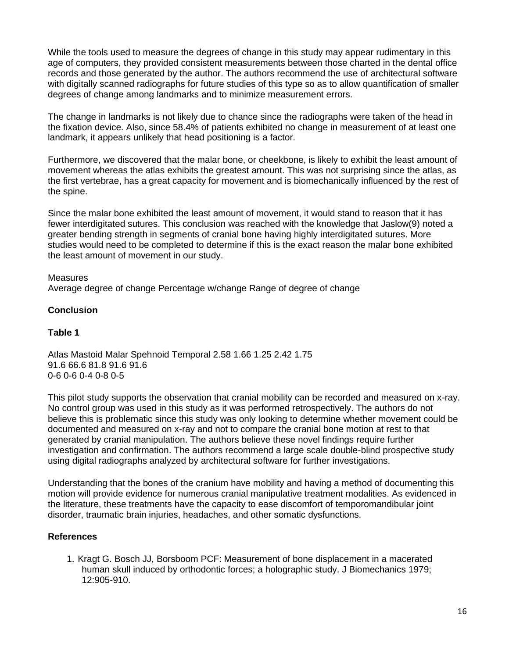While the tools used to measure the degrees of change in this study may appear rudimentary in this age of computers, they provided consistent measurements between those charted in the dental office records and those generated by the author. The authors recommend the use of architectural software with digitally scanned radiographs for future studies of this type so as to allow quantification of smaller degrees of change among landmarks and to minimize measurement errors.

The change in landmarks is not likely due to chance since the radiographs were taken of the head in the fixation device. Also, since 58.4% of patients exhibited no change in measurement of at least one landmark, it appears unlikely that head positioning is a factor.

Furthermore, we discovered that the malar bone, or cheekbone, is likely to exhibit the least amount of movement whereas the atlas exhibits the greatest amount. This was not surprising since the atlas, as the first vertebrae, has a great capacity for movement and is biomechanically influenced by the rest of the spine.

Since the malar bone exhibited the least amount of movement, it would stand to reason that it has fewer interdigitated sutures. This conclusion was reached with the knowledge that Jaslow(9) noted a greater bending strength in segments of cranial bone having highly interdigitated sutures. More studies would need to be completed to determine if this is the exact reason the malar bone exhibited the least amount of movement in our study.

### **Measures** Average degree of change Percentage w/change Range of degree of change

#### **Conclusion**

#### **Table 1**

Atlas Mastoid Malar Spehnoid Temporal 2.58 1.66 1.25 2.42 1.75 91.6 66.6 81.8 91.6 91.6 0-6 0-6 0-4 0-8 0-5

This pilot study supports the observation that cranial mobility can be recorded and measured on x-ray. No control group was used in this study as it was performed retrospectively. The authors do not believe this is problematic since this study was only looking to determine whether movement could be documented and measured on x-ray and not to compare the cranial bone motion at rest to that generated by cranial manipulation. The authors believe these novel findings require further investigation and confirmation. The authors recommend a large scale double-blind prospective study using digital radiographs analyzed by architectural software for further investigations.

Understanding that the bones of the cranium have mobility and having a method of documenting this motion will provide evidence for numerous cranial manipulative treatment modalities. As evidenced in the literature, these treatments have the capacity to ease discomfort of temporomandibular joint disorder, traumatic brain injuries, headaches, and other somatic dysfunctions.

#### **References**

1. Kragt G. Bosch JJ, Borsboom PCF: Measurement of bone displacement in a macerated human skull induced by orthodontic forces; a holographic study. J Biomechanics 1979; 12:905-910.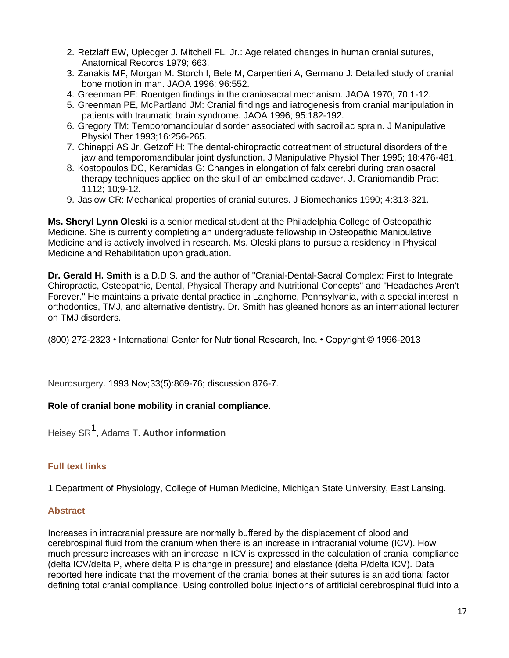- 2. Retzlaff EW, Upledger J. Mitchell FL, Jr.: Age related changes in human cranial sutures, Anatomical Records 1979; 663.
- 3. Zanakis MF, Morgan M. Storch I, Bele M, Carpentieri A, Germano J: Detailed study of cranial bone motion in man. JAOA 1996; 96:552.
- 4. Greenman PE: Roentgen findings in the craniosacral mechanism. JAOA 1970; 70:1-12.
- 5. Greenman PE, McPartland JM: Cranial findings and iatrogenesis from cranial manipulation in patients with traumatic brain syndrome. JAOA 1996; 95:182-192.
- 6. Gregory TM: Temporomandibular disorder associated with sacroiliac sprain. J Manipulative Physiol Ther 1993;16:256-265.
- 7. Chinappi AS Jr, Getzoff H: The dental-chiropractic cotreatment of structural disorders of the jaw and temporomandibular joint dysfunction. J Manipulative Physiol Ther 1995; 18:476-481.
- 8. Kostopoulos DC, Keramidas G: Changes in elongation of falx cerebri during craniosacral therapy techniques applied on the skull of an embalmed cadaver. J. Craniomandib Pract 1112; 10;9-12.
- 9. Jaslow CR: Mechanical properties of cranial sutures. J Biomechanics 1990; 4:313-321.

**Ms. Sheryl Lynn Oleski** is a senior medical student at the Philadelphia College of Osteopathic Medicine. She is currently completing an undergraduate fellowship in Osteopathic Manipulative Medicine and is actively involved in research. Ms. Oleski plans to pursue a residency in Physical Medicine and Rehabilitation upon graduation.

**Dr. Gerald H. Smith** is a D.D.S. and the author of "Cranial-Dental-Sacral Complex: First to Integrate Chiropractic, Osteopathic, Dental, Physical Therapy and Nutritional Concepts" and "Headaches Aren't Forever." He maintains a private dental practice in Langhorne, Pennsylvania, with a special interest in orthodontics, TMJ, and alternative dentistry. Dr. Smith has gleaned honors as an international lecturer on TMJ disorders.

(800) 272-2323 • International Center for Nutritional Research, Inc. • Copyright © 1996-2013

Neurosurgery. 1993 Nov;33(5):869-76; discussion 876-7.

#### **Role of cranial bone mobility in cranial compliance.**

Heisey SR1 , Adams T. **Author information**

### **Full text links**

1 Department of Physiology, College of Human Medicine, Michigan State University, East Lansing.

#### **Abstract**

Increases in intracranial pressure are normally buffered by the displacement of blood and cerebrospinal fluid from the cranium when there is an increase in intracranial volume (ICV). How much pressure increases with an increase in ICV is expressed in the calculation of cranial compliance (delta ICV/delta P, where delta P is change in pressure) and elastance (delta P/delta ICV). Data reported here indicate that the movement of the cranial bones at their sutures is an additional factor defining total cranial compliance. Using controlled bolus injections of artificial cerebrospinal fluid into a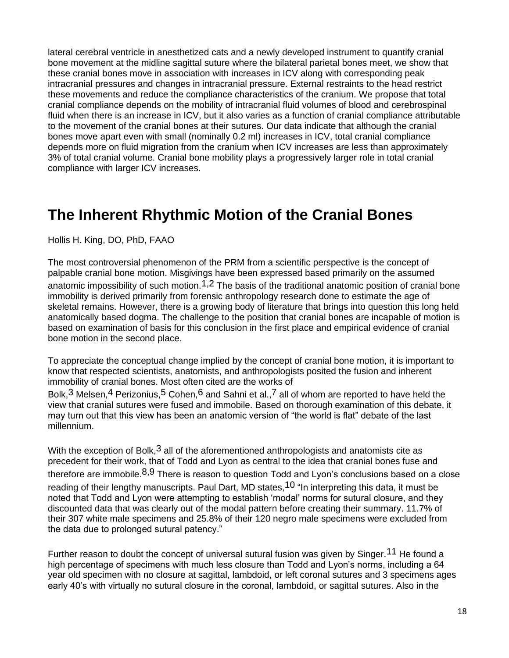lateral cerebral ventricle in anesthetized cats and a newly developed instrument to quantify cranial bone movement at the midline sagittal suture where the bilateral parietal bones meet, we show that these cranial bones move in association with increases in ICV along with corresponding peak intracranial pressures and changes in intracranial pressure. External restraints to the head restrict these movements and reduce the compliance characteristics of the cranium. We propose that total cranial compliance depends on the mobility of intracranial fluid volumes of blood and cerebrospinal fluid when there is an increase in ICV, but it also varies as a function of cranial compliance attributable to the movement of the cranial bones at their sutures. Our data indicate that although the cranial bones move apart even with small (nominally 0.2 ml) increases in ICV, total cranial compliance depends more on fluid migration from the cranium when ICV increases are less than approximately 3% of total cranial volume. Cranial bone mobility plays a progressively larger role in total cranial compliance with larger ICV increases.

## **The Inherent Rhythmic Motion of the Cranial Bones**

Hollis H. King, DO, PhD, FAAO

The most controversial phenomenon of the PRM from a scientific perspective is the concept of palpable cranial bone motion. Misgivings have been expressed based primarily on the assumed anatomic impossibility of such motion.<sup>1,2</sup> The basis of the traditional anatomic position of cranial bone immobility is derived primarily from forensic anthropology research done to estimate the age of skeletal remains. However, there is a growing body of literature that brings into question this long held anatomically based dogma. The challenge to the position that cranial bones are incapable of motion is based on examination of basis for this conclusion in the first place and empirical evidence of cranial bone motion in the second place.

To appreciate the conceptual change implied by the concept of cranial bone motion, it is important to know that respected scientists, anatomists, and anthropologists posited the fusion and inherent immobility of cranial bones. Most often cited are the works of Bolk,<sup>3</sup> Melsen,<sup>4</sup> Perizonius,<sup>5</sup> Cohen,<sup>6</sup> and Sahni et al.,<sup>7</sup> all of whom are reported to have held the view that cranial sutures were fused and immobile. Based on thorough examination of this debate, it may turn out that this view has been an anatomic version of "the world is flat" debate of the last millennium.

With the exception of Bolk,  $3$  all of the aforementioned anthropologists and anatomists cite as precedent for their work, that of Todd and Lyon as central to the idea that cranial bones fuse and therefore are immobile. $8,9$  There is reason to question Todd and Lyon's conclusions based on a close reading of their lengthy manuscripts. Paul Dart, MD states, <sup>10</sup> "In interpreting this data, it must be noted that Todd and Lyon were attempting to establish 'modal' norms for sutural closure, and they discounted data that was clearly out of the modal pattern before creating their summary. 11.7% of their 307 white male specimens and 25.8% of their 120 negro male specimens were excluded from the data due to prolonged sutural patency."

Further reason to doubt the concept of universal sutural fusion was given by Singer.<sup>11</sup> He found a high percentage of specimens with much less closure than Todd and Lyon's norms, including a 64 year old specimen with no closure at sagittal, lambdoid, or left coronal sutures and 3 specimens ages early 40's with virtually no sutural closure in the coronal, lambdoid, or sagittal sutures. Also in the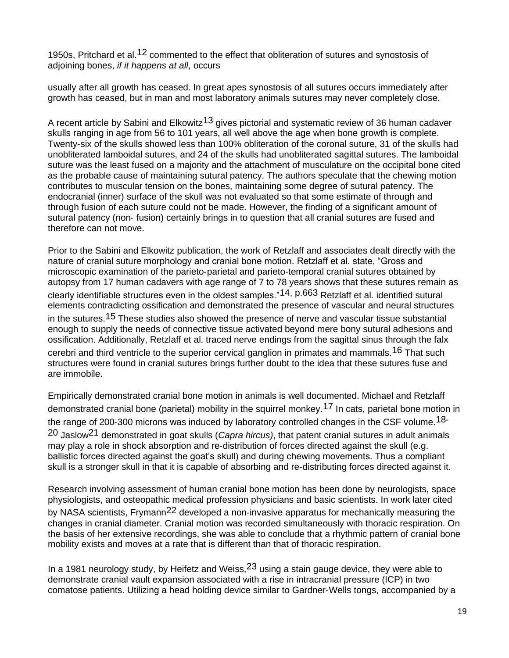1950s, Pritchard et al.<sup>12</sup> commented to the effect that obliteration of sutures and synostosis of adjoining bones, *if it happens at all*, occurs

usually after all growth has ceased. In great apes synostosis of all sutures occurs immediately after growth has ceased, but in man and most laboratory animals sutures may never completely close.

A recent article by Sabini and Elkowitz<sup>13</sup> gives pictorial and systematic review of 36 human cadaver skulls ranging in age from 56 to 101 years, all well above the age when bone growth is complete. Twenty‐six of the skulls showed less than 100% obliteration of the coronal suture, 31 of the skulls had unobliterated lamboidal sutures, and 24 of the skulls had unobliterated sagittal sutures. The lamboidal suture was the least fused on a majority and the attachment of musculature on the occipital bone cited as the probable cause of maintaining sutural patency. The authors speculate that the chewing motion contributes to muscular tension on the bones, maintaining some degree of sutural patency. The endocranial (inner) surface of the skull was not evaluated so that some estimate of through and through fusion of each suture could not be made. However, the finding of a significant amount of sutural patency (non‐ fusion) certainly brings in to question that all cranial sutures are fused and therefore can not move.

Prior to the Sabini and Elkowitz publication, the work of Retzlaff and associates dealt directly with the nature of cranial suture morphology and cranial bone motion. Retzlaff et al. state, "Gross and microscopic examination of the parieto‐parietal and parieto‐temporal cranial sutures obtained by autopsy from 17 human cadavers with age range of 7 to 78 years shows that these sutures remain as clearly identifiable structures even in the oldest samples."14, p.663 Retzlaff et al. identified sutural elements contradicting ossification and demonstrated the presence of vascular and neural structures in the sutures.<sup>15</sup> These studies also showed the presence of nerve and vascular tissue substantial enough to supply the needs of connective tissue activated beyond mere bony sutural adhesions and ossification. Additionally, Retzlaff et al. traced nerve endings from the sagittal sinus through the falx cerebri and third ventricle to the superior cervical ganglion in primates and mammals.<sup>16</sup> That such structures were found in cranial sutures brings further doubt to the idea that these sutures fuse and are immobile.

Empirically demonstrated cranial bone motion in animals is well documented. Michael and Retzlaff demonstrated cranial bone (parietal) mobility in the squirrel monkey.17 In cats, parietal bone motion in the range of 200-300 microns was induced by laboratory controlled changes in the CSF volume.<sup>18-</sup> 20 Jaslow21 demonstrated in goat skulls (*Capra hircus)*, that patent cranial sutures in adult animals may play a role in shock absorption and re-distribution of forces directed against the skull (e.g. ballistic forces directed against the goat's skull) and during chewing movements. Thus a compliant skull is a stronger skull in that it is capable of absorbing and re‐distributing forces directed against it.

Research involving assessment of human cranial bone motion has been done by neurologists, space physiologists, and osteopathic medical profession physicians and basic scientists. In work later cited by NASA scientists, Frymann<sup>22</sup> developed a non-invasive apparatus for mechanically measuring the changes in cranial diameter. Cranial motion was recorded simultaneously with thoracic respiration. On the basis of her extensive recordings, she was able to conclude that a rhythmic pattern of cranial bone mobility exists and moves at a rate that is different than that of thoracic respiration.

In a 1981 neurology study, by Heifetz and Weiss,  $23$  using a stain gauge device, they were able to demonstrate cranial vault expansion associated with a rise in intracranial pressure (ICP) in two comatose patients. Utilizing a head holding device similar to Gardner‐Wells tongs, accompanied by a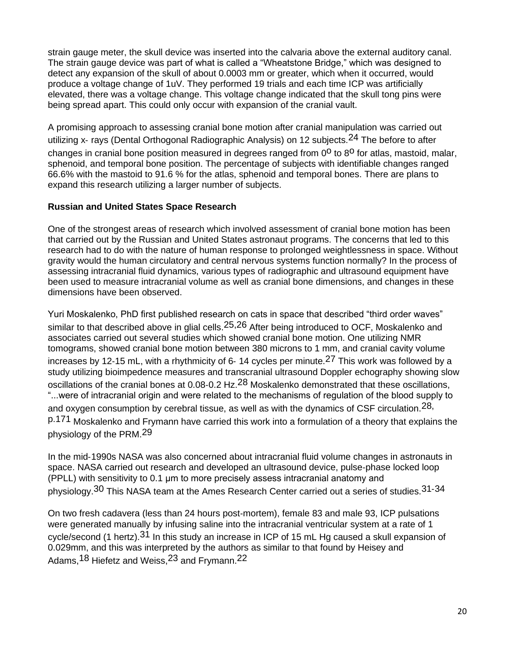strain gauge meter, the skull device was inserted into the calvaria above the external auditory canal. The strain gauge device was part of what is called a "Wheatstone Bridge," which was designed to detect any expansion of the skull of about 0.0003 mm or greater, which when it occurred, would produce a voltage change of 1uV. They performed 19 trials and each time ICP was artificially elevated, there was a voltage change. This voltage change indicated that the skull tong pins were being spread apart. This could only occur with expansion of the cranial vault.

A promising approach to assessing cranial bone motion after cranial manipulation was carried out utilizing x- rays (Dental Orthogonal Radiographic Analysis) on 12 subjects.<sup>24</sup> The before to after changes in cranial bone position measured in degrees ranged from 0<sup>0</sup> to 8<sup>0</sup> for atlas, mastoid, malar, sphenoid, and temporal bone position. The percentage of subjects with identifiable changes ranged 66.6% with the mastoid to 91.6 % for the atlas, sphenoid and temporal bones. There are plans to expand this research utilizing a larger number of subjects.

### **Russian and United States Space Research**

One of the strongest areas of research which involved assessment of cranial bone motion has been that carried out by the Russian and United States astronaut programs. The concerns that led to this research had to do with the nature of human response to prolonged weightlessness in space. Without gravity would the human circulatory and central nervous systems function normally? In the process of assessing intracranial fluid dynamics, various types of radiographic and ultrasound equipment have been used to measure intracranial volume as well as cranial bone dimensions, and changes in these dimensions have been observed.

Yuri Moskalenko, PhD first published research on cats in space that described "third order waves" similar to that described above in glial cells.<sup>25,26</sup> After being introduced to OCF, Moskalenko and associates carried out several studies which showed cranial bone motion. One utilizing NMR tomograms, showed cranial bone motion between 380 microns to 1 mm, and cranial cavity volume increases by 12-15 mL, with a rhythmicity of 6-14 cycles per minute.<sup>27</sup> This work was followed by a study utilizing bioimpedence measures and transcranial ultrasound Doppler echography showing slow oscillations of the cranial bones at 0.08-0.2 Hz.<sup>28</sup> Moskalenko demonstrated that these oscillations, "...were of intracranial origin and were related to the mechanisms of regulation of the blood supply to and oxygen consumption by cerebral tissue, as well as with the dynamics of CSF circulation.<sup>28,</sup> p.171 Moskalenko and Frymann have carried this work into a formulation of a theory that explains the physiology of the PRM.29

In the mid‐1990s NASA was also concerned about intracranial fluid volume changes in astronauts in space. NASA carried out research and developed an ultrasound device, pulse‐phase locked loop (PPLL) with sensitivity to 0.1 μm to more precisely assess intracranial anatomy and physiology.<sup>30</sup> This NASA team at the Ames Research Center carried out a series of studies.<sup>31-34</sup>

On two fresh cadavera (less than 24 hours post‐mortem), female 83 and male 93, ICP pulsations were generated manually by infusing saline into the intracranial ventricular system at a rate of 1 cycle/second (1 hertz).<sup>31</sup> In this study an increase in ICP of 15 mL Hg caused a skull expansion of 0.029mm, and this was interpreted by the authors as similar to that found by Heisey and Adams, <sup>18</sup> Hiefetz and Weiss, <sup>23</sup> and Frymann, <sup>22</sup>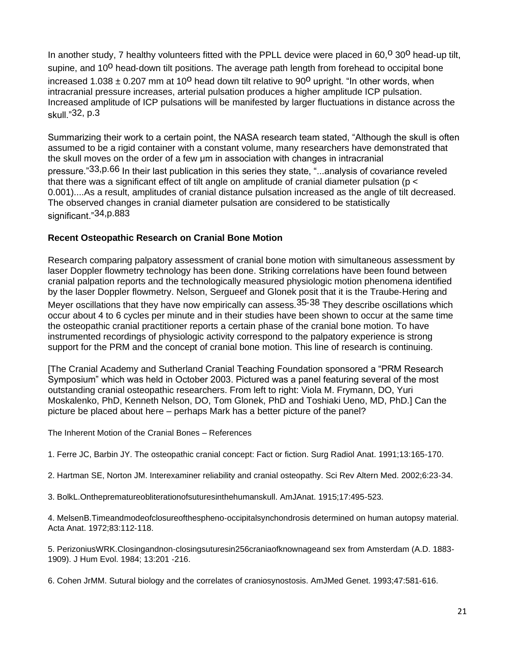In another study, 7 healthy volunteers fitted with the PPLL device were placed in 60,<sup>0</sup> 30<sup>0</sup> head-up tilt, supine, and 10<sup>0</sup> head-down tilt positions. The average path length from forehead to occipital bone increased 1.038  $\pm$  0.207 mm at 10<sup>0</sup> head down tilt relative to 90<sup>0</sup> upright. "In other words, when intracranial pressure increases, arterial pulsation produces a higher amplitude ICP pulsation. Increased amplitude of ICP pulsations will be manifested by larger fluctuations in distance across the skull."32, p.3

Summarizing their work to a certain point, the NASA research team stated, "Although the skull is often assumed to be a rigid container with a constant volume, many researchers have demonstrated that the skull moves on the order of a few μm in association with changes in intracranial pressure."33,p.66 In their last publication in this series they state, "...analysis of covariance reveled that there was a significant effect of tilt angle on amplitude of cranial diameter pulsation ( $p <$ 0.001)....As a result, amplitudes of cranial distance pulsation increased as the angle of tilt decreased. The observed changes in cranial diameter pulsation are considered to be statistically significant."34,p.883

### **Recent Osteopathic Research on Cranial Bone Motion**

Research comparing palpatory assessment of cranial bone motion with simultaneous assessment by laser Doppler flowmetry technology has been done. Striking correlations have been found between cranial palpation reports and the technologically measured physiologic motion phenomena identified by the laser Doppler flowmetry. Nelson, Sergueef and Glonek posit that it is the Traube-Hering and

Meyer oscillations that they have now empirically can assess.<sup>35-38</sup> They describe oscillations which occur about 4 to 6 cycles per minute and in their studies have been shown to occur at the same time the osteopathic cranial practitioner reports a certain phase of the cranial bone motion. To have instrumented recordings of physiologic activity correspond to the palpatory experience is strong support for the PRM and the concept of cranial bone motion. This line of research is continuing.

[The Cranial Academy and Sutherland Cranial Teaching Foundation sponsored a "PRM Research Symposium" which was held in October 2003. Pictured was a panel featuring several of the most outstanding cranial osteopathic researchers. From left to right: Viola M. Frymann, DO, Yuri Moskalenko, PhD, Kenneth Nelson, DO, Tom Glonek, PhD and Toshiaki Ueno, MD, PhD.] Can the picture be placed about here – perhaps Mark has a better picture of the panel?

The Inherent Motion of the Cranial Bones – References

1. Ferre JC, Barbin JY. The osteopathic cranial concept: Fact or fiction. Surg Radiol Anat. 1991;13:165‐170.

2. Hartman SE, Norton JM. Interexaminer reliability and cranial osteopathy. Sci Rev Altern Med. 2002;6:23‐34.

3. BolkL.Ontheprematureobliterationofsuturesinthehumanskull. AmJAnat. 1915;17:495‐523.

4. MelsenB.Timeandmodeofclosureofthespheno‐occipitalsynchondrosis determined on human autopsy material. Acta Anat. 1972;83:112‐118.

5. PerizoniusWRK.Closingandnon-closingsuturesin256craniaofknownageand sex from Amsterdam (A.D. 1883-1909). J Hum Evol. 1984; 13:201 ‐216.

6. Cohen JrMM. Sutural biology and the correlates of craniosynostosis. AmJMed Genet. 1993;47:581‐616.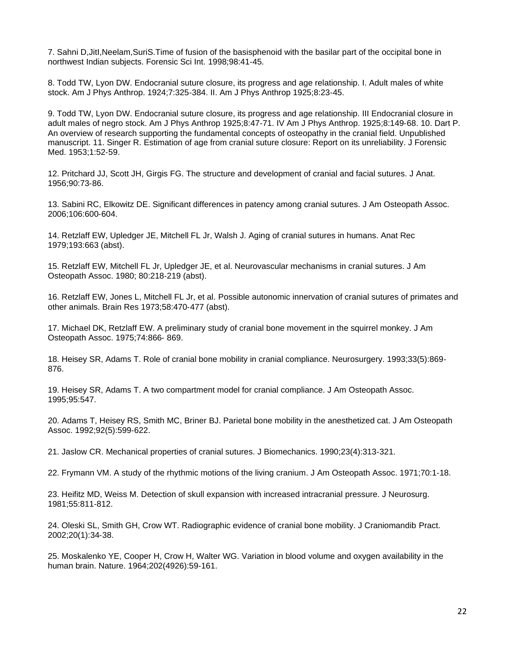7. Sahni D,JitI,Neelam,SuriS.Time of fusion of the basisphenoid with the basilar part of the occipital bone in northwest Indian subjects. Forensic Sci Int. 1998;98:41‐45.

8. Todd TW, Lyon DW. Endocranial suture closure, its progress and age relationship. I. Adult males of white stock. Am J Phys Anthrop. 1924;7:325‐384. II. Am J Phys Anthrop 1925;8:23‐45.

9. Todd TW, Lyon DW. Endocranial suture closure, its progress and age relationship. III Endocranial closure in adult males of negro stock. Am J Phys Anthrop 1925;8:47‐71. IV Am J Phys Anthrop. 1925;8:149‐68. 10. Dart P. An overview of research supporting the fundamental concepts of osteopathy in the cranial field. Unpublished manuscript. 11. Singer R. Estimation of age from cranial suture closure: Report on its unreliability. J Forensic Med. 1953;1:52‐59.

12. Pritchard JJ, Scott JH, Girgis FG. The structure and development of cranial and facial sutures. J Anat. 1956;90:73‐86.

13. Sabini RC, Elkowitz DE. Significant differences in patency among cranial sutures. J Am Osteopath Assoc. 2006;106:600‐604.

14. Retzlaff EW, Upledger JE, Mitchell FL Jr, Walsh J. Aging of cranial sutures in humans. Anat Rec 1979;193:663 (abst).

15. Retzlaff EW, Mitchell FL Jr, Upledger JE, et al. Neurovascular mechanisms in cranial sutures. J Am Osteopath Assoc. 1980; 80:218‐219 (abst).

16. Retzlaff EW, Jones L, Mitchell FL Jr, et al. Possible autonomic innervation of cranial sutures of primates and other animals. Brain Res 1973;58:470‐477 (abst).

17. Michael DK, Retzlaff EW. A preliminary study of cranial bone movement in the squirrel monkey. J Am Osteopath Assoc. 1975;74:866‐ 869.

18. Heisey SR, Adams T. Role of cranial bone mobility in cranial compliance. Neurosurgery. 1993;33(5):869‐ 876.

19. Heisey SR, Adams T. A two compartment model for cranial compliance. J Am Osteopath Assoc. 1995;95:547.

20. Adams T, Heisey RS, Smith MC, Briner BJ. Parietal bone mobility in the anesthetized cat. J Am Osteopath Assoc. 1992;92(5):599‐622.

21. Jaslow CR. Mechanical properties of cranial sutures. J Biomechanics. 1990;23(4):313‐321.

22. Frymann VM. A study of the rhythmic motions of the living cranium. J Am Osteopath Assoc. 1971;70:1‐18.

23. Heifitz MD, Weiss M. Detection of skull expansion with increased intracranial pressure. J Neurosurg. 1981;55:811‐812.

24. Oleski SL, Smith GH, Crow WT. Radiographic evidence of cranial bone mobility. J Craniomandib Pract. 2002;20(1):34‐38.

25. Moskalenko YE, Cooper H, Crow H, Walter WG. Variation in blood volume and oxygen availability in the human brain. Nature. 1964;202(4926):59‐161.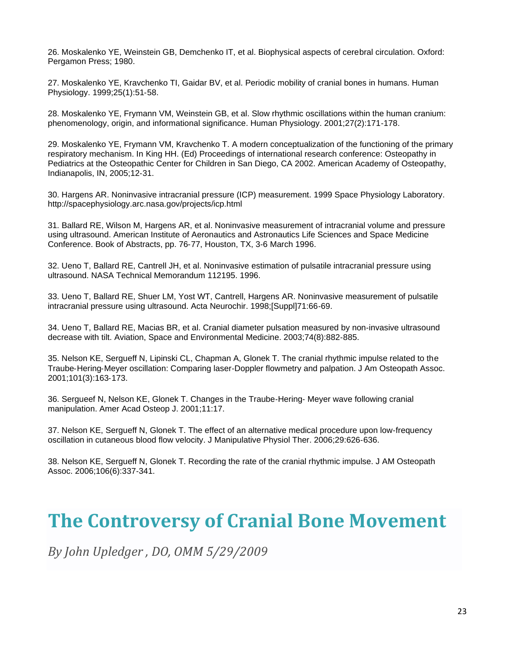26. Moskalenko YE, Weinstein GB, Demchenko IT, et al. Biophysical aspects of cerebral circulation. Oxford: Pergamon Press; 1980.

27. Moskalenko YE, Kravchenko TI, Gaidar BV, et al. Periodic mobility of cranial bones in humans. Human Physiology. 1999;25(1):51‐58.

28. Moskalenko YE, Frymann VM, Weinstein GB, et al. Slow rhythmic oscillations within the human cranium: phenomenology, origin, and informational significance. Human Physiology. 2001;27(2):171‐178.

29. Moskalenko YE, Frymann VM, Kravchenko T. A modern conceptualization of the functioning of the primary respiratory mechanism. In King HH. (Ed) Proceedings of international research conference: Osteopathy in Pediatrics at the Osteopathic Center for Children in San Diego, CA 2002. American Academy of Osteopathy, Indianapolis, IN, 2005;12‐31.

30. Hargens AR. Noninvasive intracranial pressure (ICP) measurement. 1999 Space Physiology Laboratory. http://spacephysiology.arc.nasa.gov/projects/icp.html

31. Ballard RE, Wilson M, Hargens AR, et al. Noninvasive measurement of intracranial volume and pressure using ultrasound. American Institute of Aeronautics and Astronautics Life Sciences and Space Medicine Conference. Book of Abstracts, pp. 76‐77, Houston, TX, 3‐6 March 1996.

32. Ueno T, Ballard RE, Cantrell JH, et al. Noninvasive estimation of pulsatile intracranial pressure using ultrasound. NASA Technical Memorandum 112195. 1996.

33. Ueno T, Ballard RE, Shuer LM, Yost WT, Cantrell, Hargens AR. Noninvasive measurement of pulsatile intracranial pressure using ultrasound. Acta Neurochir. 1998;[Suppl]71:66‐69.

34. Ueno T, Ballard RE, Macias BR, et al. Cranial diameter pulsation measured by non‐invasive ultrasound decrease with tilt. Aviation, Space and Environmental Medicine. 2003;74(8):882‐885.

35. Nelson KE, Sergueff N, Lipinski CL, Chapman A, Glonek T. The cranial rhythmic impulse related to the Traube‐Hering‐Meyer oscillation: Comparing laser‐Doppler flowmetry and palpation. J Am Osteopath Assoc. 2001;101(3):163‐173.

36. Sergueef N, Nelson KE, Glonek T. Changes in the Traube‐Hering‐ Meyer wave following cranial manipulation. Amer Acad Osteop J. 2001;11:17.

37. Nelson KE, Sergueff N, Glonek T. The effect of an alternative medical procedure upon low‐frequency oscillation in cutaneous blood flow velocity. J Manipulative Physiol Ther. 2006;29:626‐636.

38. Nelson KE, Sergueff N, Glonek T. Recording the rate of the cranial rhythmic impulse. J AM Osteopath Assoc. 2006;106(6):337‐341.

# **The Controversy of Cranial Bone Movement**

*By John Upledger , DO, OMM 5/29/2009*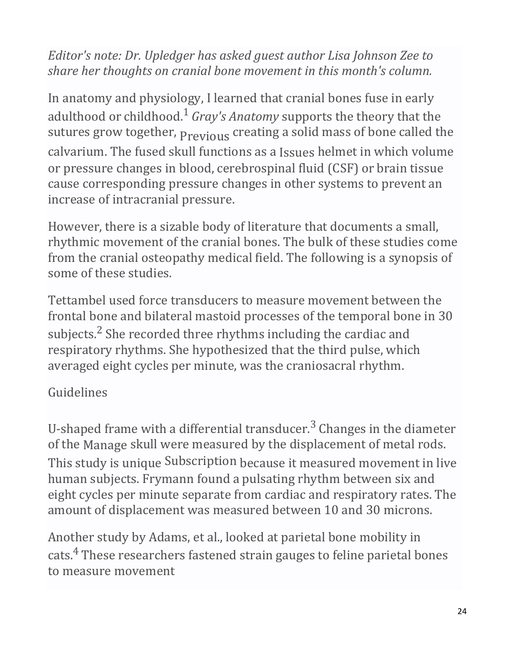## *Editor's note: Dr. Upledger has asked guest author Lisa Johnson Zee to share her thoughts on cranial bone movement in this month's column.*

In anatomy and physiology, I learned that cranial bones fuse in early adulthood or childhood.<sup>1</sup> *Gray's Anatomy* supports the theory that the sutures grow together,  $P_{\text{revious}}$  creating a solid mass of bone called the calvarium. The fused skull functions as a Issues helmet in which volume or pressure changes in blood, cerebrospinal fluid (CSF) or brain tissue cause corresponding pressure changes in other systems to prevent an increase of intracranial pressure.

However, there is a sizable body of literature that documents a small, rhythmic movement of the cranial bones. The bulk of these studies come from the cranial osteopathy medical field. The following is a synopsis of some of these studies.

Tettambel used force transducers to measure movement between the frontal bone and bilateral mastoid processes of the temporal bone in 30 subjects.<sup>2</sup> She recorded three rhythms including the cardiac and respiratory rhythms. She hypothesized that the third pulse, which averaged eight cycles per minute, was the craniosacral rhythm.

## Guidelines

U-shaped frame with a differential transducer.<sup>3</sup> Changes in the diameter of the Manage skull were measured by the displacement of metal rods. This study is unique Subscription because it measured movement in live human subjects. Frymann found a pulsating rhythm between six and eight cycles per minute separate from cardiac and respiratory rates. The amount of displacement was measured between 10 and 30 microns.

Another study by Adams, et al., looked at parietal bone mobility in cats.<sup>4</sup> These researchers fastened strain gauges to feline parietal bones to measure movement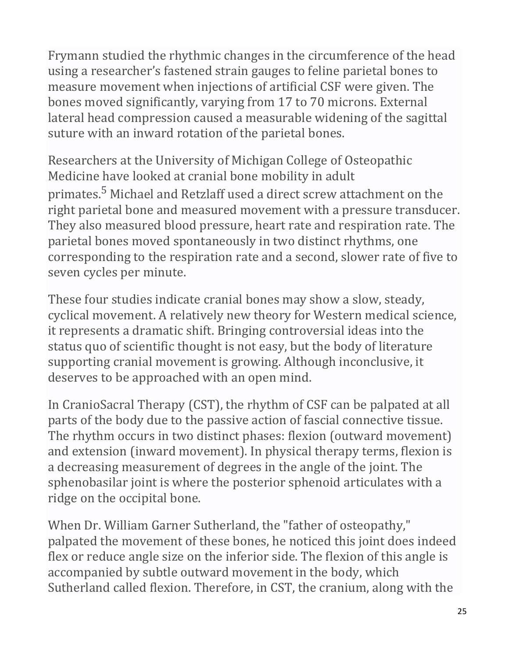Frymann studied the rhythmic changes in the circumference of the head using a researcher's fastened strain gauges to feline parietal bones to measure movement when injections of artificial CSF were given. The bones moved significantly, varying from 17 to 70 microns. External lateral head compression caused a measurable widening of the sagittal suture with an inward rotation of the parietal bones.

Researchers at the University of Michigan College of Osteopathic Medicine have looked at cranial bone mobility in adult primates.<sup>5</sup> Michael and Retzlaff used a direct screw attachment on the right parietal bone and measured movement with a pressure transducer. They also measured blood pressure, heart rate and respiration rate. The parietal bones moved spontaneously in two distinct rhythms, one corresponding to the respiration rate and a second, slower rate of five to seven cycles per minute.

These four studies indicate cranial bones may show a slow, steady, cyclical movement. A relatively new theory for Western medical science, it represents a dramatic shift. Bringing controversial ideas into the status quo of scientific thought is not easy, but the body of literature supporting cranial movement is growing. Although inconclusive, it deserves to be approached with an open mind.

In CranioSacral Therapy (CST), the rhythm of CSF can be palpated at all parts of the body due to the passive action of fascial connective tissue. The rhythm occurs in two distinct phases: flexion (outward movement) and extension (inward movement). In physical therapy terms, flexion is a decreasing measurement of degrees in the angle of the joint. The sphenobasilar joint is where the posterior sphenoid articulates with a ridge on the occipital bone.

When Dr. William Garner Sutherland, the "father of osteopathy," palpated the movement of these bones, he noticed this joint does indeed flex or reduce angle size on the inferior side. The flexion of this angle is accompanied by subtle outward movement in the body, which Sutherland called flexion. Therefore, in CST, the cranium, along with the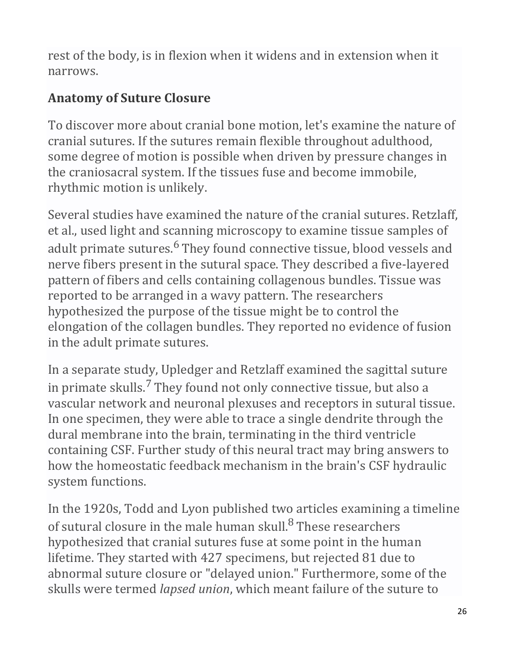rest of the body, is in flexion when it widens and in extension when it narrows.

## **Anatomy of Suture Closure**

To discover more about cranial bone motion, let's examine the nature of cranial sutures. If the sutures remain flexible throughout adulthood, some degree of motion is possible when driven by pressure changes in the craniosacral system. If the tissues fuse and become immobile, rhythmic motion is unlikely.

Several studies have examined the nature of the cranial sutures. Retzlaff, et al., used light and scanning microscopy to examine tissue samples of adult primate sutures.<sup>6</sup> They found connective tissue, blood vessels and nerve fibers present in the sutural space. They described a five-layered pattern of fibers and cells containing collagenous bundles. Tissue was reported to be arranged in a wavy pattern. The researchers hypothesized the purpose of the tissue might be to control the elongation of the collagen bundles. They reported no evidence of fusion in the adult primate sutures.

In a separate study, Upledger and Retzlaff examined the sagittal suture in primate skulls.<sup>7</sup> They found not only connective tissue, but also a vascular network and neuronal plexuses and receptors in sutural tissue. In one specimen, they were able to trace a single dendrite through the dural membrane into the brain, terminating in the third ventricle containing CSF. Further study of this neural tract may bring answers to how the homeostatic feedback mechanism in the brain's CSF hydraulic system functions.

In the 1920s, Todd and Lyon published two articles examining a timeline of sutural closure in the male human skull. $8$  These researchers hypothesized that cranial sutures fuse at some point in the human lifetime. They started with 427 specimens, but rejected 81 due to abnormal suture closure or "delayed union." Furthermore, some of the skulls were termed *lapsed union*, which meant failure of the suture to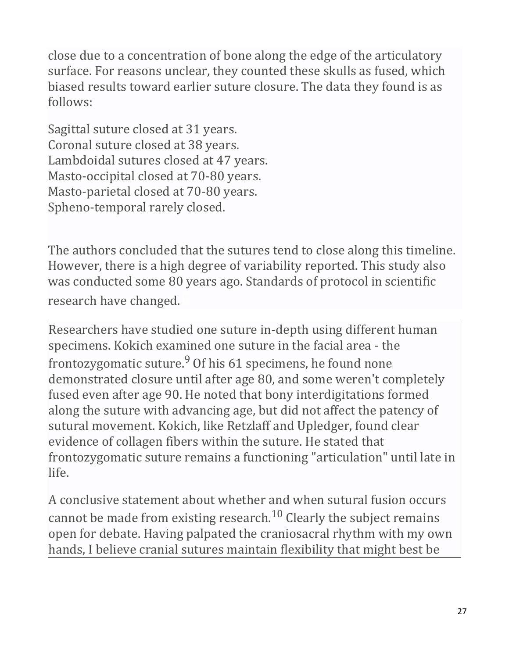close due to a concentration of bone along the edge of the articulatory surface. For reasons unclear, they counted these skulls as fused, which biased results toward earlier suture closure. The data they found is as follows:

Sagittal suture closed at 31 years. Coronal suture closed at 38 years. Lambdoidal sutures closed at 47 years. Masto-occipital closed at 70-80 years. Masto-parietal closed at 70-80 years. Spheno-temporal rarely closed.

The authors concluded that the sutures tend to close along this timeline. However, there is a high degree of variability reported. This study also was conducted some 80 years ago. Standards of protocol in scientific research have changed.

Researchers have studied one suture in-depth using different human specimens. Kokich examined one suture in the facial area - the frontozygomatic suture.  $90f$  his 61 specimens, he found none demonstrated closure until after age 80, and some weren't completely fused even after age 90. He noted that bony interdigitations formed along the suture with advancing age, but did not affect the patency of sutural movement. Kokich, like Retzlaff and Upledger, found clear evidence of collagen fibers within the suture. He stated that frontozygomatic suture remains a functioning "articulation" until late in life.

A conclusive statement about whether and when sutural fusion occurs cannot be made from existing research.<sup>10</sup> Clearly the subject remains open for debate. Having palpated the craniosacral rhythm with my own hands, I believe cranial sutures maintain flexibility that might best be